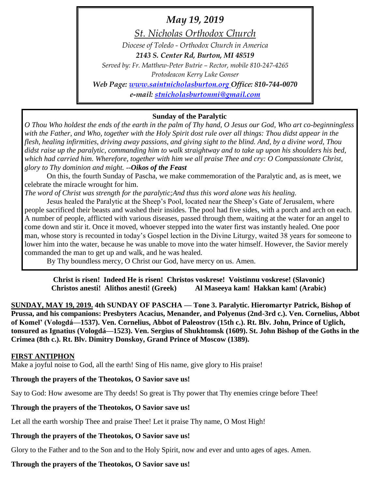# *May 19, 2019*

*St. Nicholas Orthodox Church*

*Diocese of Toledo - Orthodox Church in America*

*2143 S. Center Rd, Burton, MI 48519*

*Served by: Fr. Matthew-Peter Butrie – Rector, mobile 810-247-4265 Protodeacon Kerry Luke Gonser Web Page: [www.saintnicholasburton.org](http://www.saintnicholasburton.org/) Office: 810-744-0070*

*e-mail: [stnicholasburtonmi@gmail.com](mailto:stnicholasburtonmi@gmail.com)*

# **Sunday of the Paralytic**

*O Thou Who holdest the ends of the earth in the palm of Thy hand, O Jesus our God, Who art co-beginningless with the Father, and Who, together with the Holy Spirit dost rule over all things: Thou didst appear in the flesh, healing infirmities, driving away passions, and giving sight to the blind. And, by a divine word, Thou didst raise up the paralytic, commanding him to walk straightway and to take up upon his shoulders his bed, which had carried him. Wherefore, together with him we all praise Thee and cry: O Compassionate Christ, glory to Thy dominion and might. --Oikos of the Feast*

On this, the fourth Sunday of Pascha, we make commemoration of the Paralytic and, as is meet, we celebrate the miracle wrought for him.

*The word of Christ was strength for the paralytic;And thus this word alone was his healing.*

Jesus healed the Paralytic at the Sheep's Pool, located near the Sheep's Gate of Jerusalem, where people sacrificed their beasts and washed their insides. The pool had five sides, with a porch and arch on each. A number of people, afflicted with various diseases, passed through them, waiting at the water for an angel to come down and stir it. Once it moved, whoever stepped into the water first was instantly healed. One poor man, whose story is recounted in today's Gospel lection in the Divine Liturgy, waited 38 years for someone to lower him into the water, because he was unable to move into the water himself. However, the Savior merely commanded the man to get up and walk, and he was healed.

By Thy boundless mercy, O Christ our God, have mercy on us. Amen.

**Christ is risen! Indeed He is risen! Christos voskrese! Voistinnu voskrese! (Slavonic) Christos anesti! Alithos anesti! (Greek) Al Maseeya kam! Hakkan kam! (Arabic)**

**SUNDAY, MAY 19, 2019. 4th SUNDAY OF PASCHA — Tone 3. Paralytic. Hieromartyr Patrick, Bishop of Prussa, and his companions: Presbyters Acacius, Menander, and Polyenus (2nd-3rd c.). Ven. Cornelius, Abbot of Komel' (Vologdá—1537). Ven. Cornelius, Abbot of Paleostrov (15th c.). Rt. Blv. John, Prince of Uglich, tonsured as Ignatius (Vologdá—1523). Ven. Sergius of Shukhtomsk (1609). St. John Bishop of the Goths in the Crimea (8th c.). Rt. Blv. Dimitry Donskoy, Grand Prince of Moscow (1389).** 

#### **FIRST ANTIPHON**

Make a joyful noise to God, all the earth! Sing of His name, give glory to His praise!

# **Through the prayers of the Theotokos, O Savior save us!**

Say to God: How awesome are Thy deeds! So great is Thy power that Thy enemies cringe before Thee!

# **Through the prayers of the Theotokos, O Savior save us!**

Let all the earth worship Thee and praise Thee! Let it praise Thy name, O Most High!

# **Through the prayers of the Theotokos, O Savior save us!**

Glory to the Father and to the Son and to the Holy Spirit, now and ever and unto ages of ages. Amen.

# **Through the prayers of the Theotokos, O Savior save us!**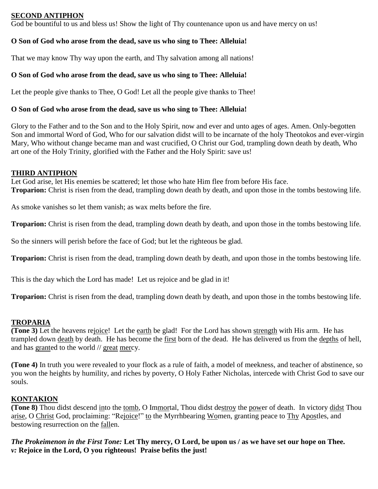#### **SECOND ANTIPHON**

God be bountiful to us and bless us! Show the light of Thy countenance upon us and have mercy on us!

#### **O Son of God who arose from the dead, save us who sing to Thee: Alleluia!**

That we may know Thy way upon the earth, and Thy salvation among all nations!

#### **O Son of God who arose from the dead, save us who sing to Thee: Alleluia!**

Let the people give thanks to Thee, O God! Let all the people give thanks to Thee!

#### **O Son of God who arose from the dead, save us who sing to Thee: Alleluia!**

Glory to the Father and to the Son and to the Holy Spirit, now and ever and unto ages of ages. Amen. Only-begotten Son and immortal Word of God, Who for our salvation didst will to be incarnate of the holy Theotokos and ever-virgin Mary, Who without change became man and wast crucified, O Christ our God, trampling down death by death, Who art one of the Holy Trinity, glorified with the Father and the Holy Spirit: save us!

#### **THIRD ANTIPHON**

Let God arise, let His enemies be scattered; let those who hate Him flee from before His face. **Troparion:** Christ is risen from the dead, trampling down death by death, and upon those in the tombs bestowing life.

As smoke vanishes so let them vanish; as wax melts before the fire.

**Troparion:** Christ is risen from the dead, trampling down death by death, and upon those in the tombs bestowing life.

So the sinners will perish before the face of God; but let the righteous be glad.

**Troparion:** Christ is risen from the dead, trampling down death by death, and upon those in the tombs bestowing life.

This is the day which the Lord has made! Let us rejoice and be glad in it!

**Troparion:** Christ is risen from the dead, trampling down death by death, and upon those in the tombs bestowing life.

#### **TROPARIA**

**(Tone 3)** Let the heavens rejoice! Let the earth be glad! For the Lord has shown strength with His arm. He has trampled down death by death. He has become the first born of the dead. He has delivered us from the depths of hell, and has granted to the world // great mercy.

**(Tone 4)** In truth you were revealed to your flock as a rule of faith, a model of meekness, and teacher of abstinence, so you won the heights by humility, and riches by poverty, O Holy Father Nicholas, intercede with Christ God to save our souls.

#### **KONTAKION**

**(Tone 8)** Thou didst descend into the tomb, O Immortal, Thou didst destroy the power of death. In victory didst Thou arise, O Christ God, proclaiming: "Rejoice!" to the Myrrhbearing Women, granting peace to Thy Apostles, and bestowing resurrection on the fallen.

*The Prokeimenon in the First Tone:* **Let Thy mercy, O Lord, be upon us / as we have set our hope on Thee.** *v:* **Rejoice in the Lord, O you righteous! Praise befits the just!**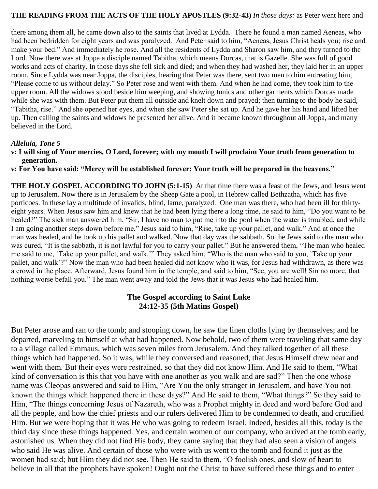#### **THE READING FROM THE ACTS OF THE HOLY APOSTLES (9:32-43)** *In those days:* as Peter went here and

there among them all, he came down also to the saints that lived at Lydda. There he found a man named Aeneas, who had been bedridden for eight years and was paralyzed. And Peter said to him, "Aeneas, Jesus Christ heals you; rise and make your bed." And immediately he rose. And all the residents of Lydda and Sharon saw him, and they turned to the Lord. Now there was at Joppa a disciple named Tabitha, which means Dorcas, that is Gazelle. She was full of good works and acts of charity. In those days she fell sick and died; and when they had washed her, they laid her in an upper room. Since Lydda was near Joppa, the disciples, hearing that Peter was there, sent two men to him entreating him, "Please come to us without delay." So Peter rose and went with them. And when he had come, they took him to the upper room. All the widows stood beside him weeping, and showing tunics and other garments which Dorcas made while she was with them. But Peter put them all outside and knelt down and prayed; then turning to the body he said, "Tabitha, rise." And she opened her eyes, and when she saw Peter she sat up. And he gave her his hand and lifted her up. Then calling the saints and widows he presented her alive. And it became known throughout all Joppa, and many believed in the Lord.

#### *Alleluia, Tone 5*

*v:* **I will sing of Your mercies, O Lord, forever; with my mouth I will proclaim Your truth from generation to generation.**

*v:* **For You have said: "Mercy will be established forever; Your truth will be prepared in the heavens."** 

**THE HOLY GOSPEL ACCORDING TO JOHN (5:1-15)** At that time there was a feast of the Jews, and Jesus went up to Jerusalem. Now there is in Jerusalem by the Sheep Gate a pool, in Hebrew called Bethzatha, which has five porticoes. In these lay a multitude of invalids, blind, lame, paralyzed. One man was there, who had been ill for thirtyeight years. When Jesus saw him and knew that he had been lying there a long time, he said to him, "Do you want to be healed?" The sick man answered him, "Sir, I have no man to put me into the pool when the water is troubled, and while I am going another steps down before me." Jesus said to him, "Rise, take up your pallet, and walk." And at once the man was healed, and he took up his pallet and walked. Now that day was the sabbath. So the Jews said to the man who was cured, "It is the sabbath, it is not lawful for you to carry your pallet." But he answered them, "The man who healed me said to me, `Take up your pallet, and walk.'" They asked him, "Who is the man who said to you, `Take up your pallet, and walk'?" Now the man who had been healed did not know who it was, for Jesus had withdrawn, as there was a crowd in the place. Afterward, Jesus found him in the temple, and said to him, "See, you are well! Sin no more, that nothing worse befall you." The man went away and told the Jews that it was Jesus who had healed him.

#### **The Gospel according to Saint Luke 24:12-35 (5th Matins Gospel)**

But Peter arose and ran to the tomb; and stooping down, he saw the linen cloths lying by themselves; and he departed, marveling to himself at what had happened. Now behold, two of them were traveling that same day to a village called Emmaus, which was seven miles from Jerusalem. And they talked together of all these things which had happened. So it was, while they conversed and reasoned, that Jesus Himself drew near and went with them. But their eyes were restrained, so that they did not know Him. And He said to them, "What kind of conversation is this that you have with one another as you walk and are sad?" Then the one whose name was Cleopas answered and said to Him, "Are You the only stranger in Jerusalem, and have You not known the things which happened there in these days?" And He said to them, "What things?" So they said to Him, "The things concerning Jesus of Nazareth, who was a Prophet mighty in deed and word before God and all the people, and how the chief priests and our rulers delivered Him to be condemned to death, and crucified Him. But we were hoping that it was He who was going to redeem Israel. Indeed, besides all this, today is the third day since these things happened. Yes, and certain women of our company, who arrived at the tomb early, astonished us. When they did not find His body, they came saying that they had also seen a vision of angels who said He was alive. And certain of those who were with us went to the tomb and found it just as the women had said; but Him they did not see. Then He said to them, "O foolish ones, and slow of heart to believe in all that the prophets have spoken! Ought not the Christ to have suffered these things and to enter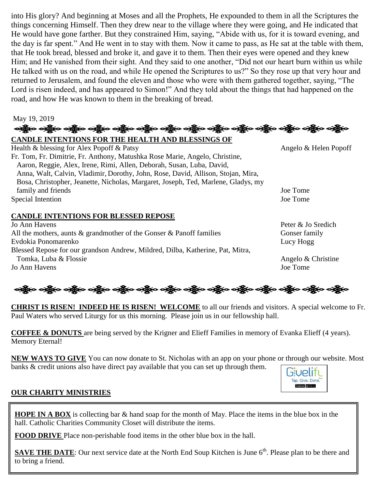into His glory? And beginning at Moses and all the Prophets, He expounded to them in all the Scriptures the things concerning Himself. Then they drew near to the village where they were going, and He indicated that He would have gone farther. But they constrained Him, saying, "Abide with us, for it is toward evening, and the day is far spent." And He went in to stay with them. Now it came to pass, as He sat at the table with them, that He took bread, blessed and broke it, and gave it to them. Then their eyes were opened and they knew Him; and He vanished from their sight. And they said to one another, "Did not our heart burn within us while He talked with us on the road, and while He opened the Scriptures to us?" So they rose up that very hour and returned to Jerusalem, and found the eleven and those who were with them gathered together, saying, "The Lord is risen indeed, and has appeared to Simon!" And they told about the things that had happened on the road, and how He was known to them in the breaking of bread.

# May 19, 2019

## **CANDLE INTENTIONS FOR THE HEALTH AND BLESSINGS OF**  Health & blessing for Alex Popoff & Patsy Angelo & Helen Popoff Fr. Tom, Fr. Dimitrie, Fr. Anthony, Matushka Rose Marie, Angelo, Christine, Aaron, Reggie, Alex, Irene, Rimi, Allen, Deborah, Susan, Luba, David, Anna, Walt, Calvin, Vladimir, Dorothy, John, Rose, David, Allison, Stojan, Mira, Bosa, Christopher, Jeanette, Nicholas, Margaret, Joseph, Ted, Marlene, Gladys, my family and friends **Solution** Joe Tome **Joe Tome** Joe Tome **Joe Tome** Special Intention Joe Tome

# **CANDLE INTENTIONS FOR BLESSED REPOSE**

Jo Ann Havens Peter & Jo Sredich All the mothers, aunts & grandmother of the Gonser & Panoff families Gonser family Evdokia Ponomarenko Lucy Hogg Blessed Repose for our grandson Andrew, Mildred, Dilba, Katherine, Pat, Mitra, Tomka, Luba & Flossie Angelo & Christine Jo Ann Havens Joe Tome

ઓફ્રેંજ ઓફ્રેંજ ઓફ્રેંજ ઓફ્રેંજ ઓફ્રેંજ ઓફ્રેંજ ઓફ્રેંજ ઓફ્રેંજ ઓફ્રેંજ ઓફ્રેંજ ઓફ્રેંજ

**CHRIST IS RISEN! INDEED HE IS RISEN! WELCOME** to all our friends and visitors. A special welcome to Fr. Paul Waters who served Liturgy for us this morning. Please join us in our fellowship hall.

**COFFEE & DONUTS** are being served by the Krigner and Elieff Families in memory of Evanka Elieff (4 years). Memory Eternal!

**NEW WAYS TO GIVE** You can now donate to St. Nicholas with an app on your phone or through our website. Most banks & credit unions also have direct pay available that you can set up through them.



# **OUR CHARITY MINISTRIES**

**HOPE IN A BOX** is collecting bar & hand soap for the month of May. Place the items in the blue box in the hall. Catholic Charities Community Closet will distribute the items.

**FOOD DRIVE** Place non-perishable food items in the other blue box in the hall.

**SAVE THE DATE:** Our next service date at the North End Soup Kitchen is June 6<sup>th</sup>. Please plan to be there and to bring a friend.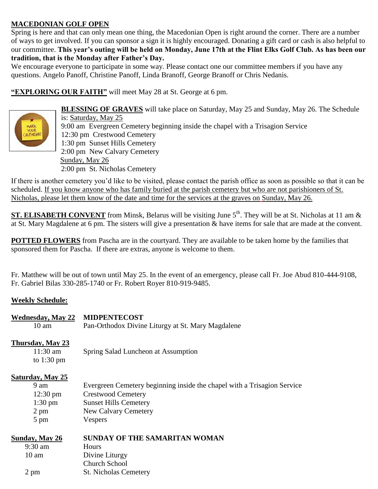# **MACEDONIAN GOLF OPEN**

Spring is here and that can only mean one thing, the Macedonian Open is right around the corner. There are a number of ways to get involved. If you can sponsor a sign it is highly encouraged. Donating a gift card or cash is also helpful to our committee. **This year's outing will be held on Monday, June 17th at the Flint Elks Golf Club. As has been our tradition, that is the Monday after Father's Day.** 

We encourage everyone to participate in some way. Please contact one our committee members if you have any questions. Angelo Panoff, Christine Panoff, Linda Branoff, George Branoff or Chris Nedanis.

**"EXPLORING OUR FAITH"** will meet May 28 at St. George at 6 pm.



 **BLESSING OF GRAVES** will take place on Saturday, May 25 and Sunday, May 26. The Schedule is: Saturday, May 25  $\frac{1}{200}$  9:00 am Evergreen Cemetery beginning inside the chapel with a Trisagion Service<br>ALENDARI 12:30 pm Crestwood Cemetery 12:30 pm Crestwood Cemetery 1:30 pm Sunset Hills Cemetery 2:00 pm New Calvary Cemetery Sunday, May 26 2:00 pm St. Nicholas Cemetery

If there is another cemetery you'd like to be visited, please contact the parish office as soon as possible so that it can be scheduled. If you know anyone who has family buried at the parish cemetery but who are not parishioners of St. Nicholas, please let them know of the date and time for the services at the graves on Sunday, May 26.

**ST. ELISABETH CONVENT** from Minsk, Belarus will be visiting June 5<sup>th</sup>. They will be at St. Nicholas at 11 am & at St. Mary Magdalene at 6 pm. The sisters will give a presentation & have items for sale that are made at the convent.

**POTTED FLOWERS** from Pascha are in the courtyard. They are available to be taken home by the families that sponsored them for Pascha. If there are extras, anyone is welcome to them.

Fr. Matthew will be out of town until May 25. In the event of an emergency, please call Fr. Joe Abud 810-444-9108, Fr. Gabriel Bilas 330-285-1740 or Fr. Robert Royer 810-919-9485.

# **Weekly Schedule:**

| <b>Wednesday, May 22</b> | <b>MIDPENTECOST</b>                                                     |
|--------------------------|-------------------------------------------------------------------------|
| $10 \text{ am}$          | Pan-Orthodox Divine Liturgy at St. Mary Magdalene                       |
| Thursday, May 23         |                                                                         |
| $11:30$ am               | Spring Salad Luncheon at Assumption                                     |
| to $1:30 \text{ pm}$     |                                                                         |
| <b>Saturday, May 25</b>  |                                                                         |
| 9 am                     | Evergreen Cemetery beginning inside the chapel with a Trisagion Service |
| $12:30 \text{ pm}$       | <b>Crestwood Cemetery</b>                                               |
| $1:30 \text{ pm}$        | <b>Sunset Hills Cemetery</b>                                            |
| $2 \text{ pm}$           | New Calvary Cemetery                                                    |
| $5 \text{ pm}$           | <b>Vespers</b>                                                          |
| Sunday, May 26           | <b>SUNDAY OF THE SAMARITAN WOMAN</b>                                    |
| $9:30$ am                | <b>Hours</b>                                                            |
| 10 am                    | Divine Liturgy                                                          |
|                          | <b>Church School</b>                                                    |
| 2 pm                     | <b>St. Nicholas Cemetery</b>                                            |